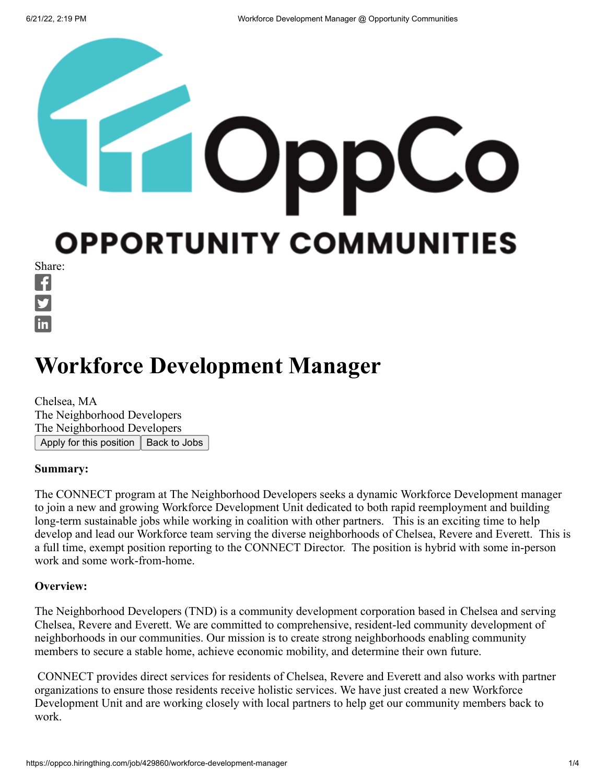# **OPPORTUNITY COMMUNITIES**

Share:  $\mathbf f$ in

# **Workforce Development Manager**

Chelsea, MA The Neighborhood Developers The Neighborhood Developers Apply for this position  $\parallel$  Back to Jobs

### **Summary:**

The CONNECT program at The Neighborhood Developers seeks a dynamic Workforce Development manager to join a new and growing Workforce Development Unit dedicated to both rapid reemployment and building long-term sustainable jobs while working in coalition with other partners. This is an exciting time to help develop and lead our Workforce team serving the diverse neighborhoods of Chelsea, Revere and Everett. This is a full time, exempt position reporting to the CONNECT Director. The position is hybrid with some in-person work and some work-from-home.

### **Overview:**

The Neighborhood Developers (TND) is a community development corporation based in Chelsea and serving Chelsea, Revere and Everett. We are committed to comprehensive, resident-led community development of neighborhoods in our communities. Our mission is to create strong neighborhoods enabling community members to secure a stable home, achieve economic mobility, and determine their own future.

CONNECT provides direct services for residents of Chelsea, Revere and Everett and also works with partner organizations to ensure those residents receive holistic services. We have just created a new Workforce Development Unit and are working closely with local partners to help get our community members back to work.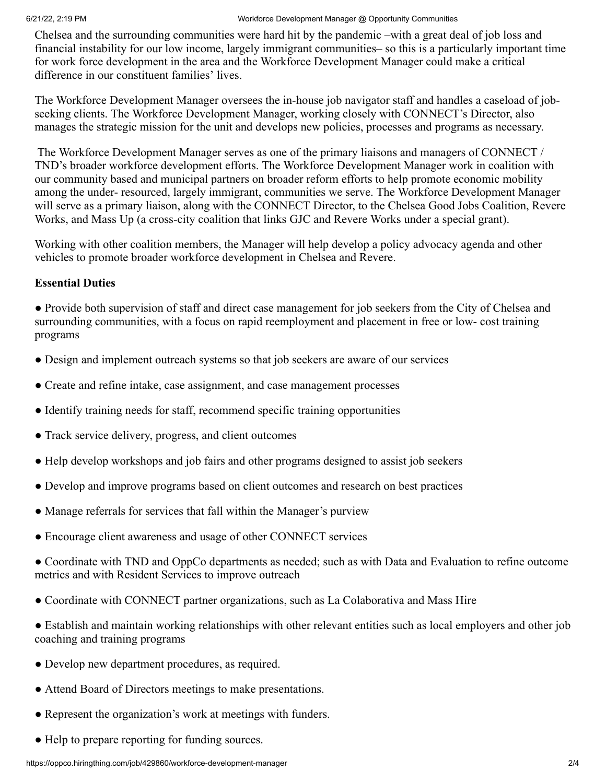Chelsea and the surrounding communities were hard hit by the pandemic –with a great deal of job loss and financial instability for our low income, largely immigrant communities– so this is a particularly important time for work force development in the area and the Workforce Development Manager could make a critical difference in our constituent families' lives.

The Workforce Development Manager oversees the in-house job navigator staff and handles a caseload of jobseeking clients. The Workforce Development Manager, working closely with CONNECT's Director, also manages the strategic mission for the unit and develops new policies, processes and programs as necessary.

The Workforce Development Manager serves as one of the primary liaisons and managers of CONNECT / TND's broader workforce development efforts. The Workforce Development Manager work in coalition with our community based and municipal partners on broader reform efforts to help promote economic mobility among the under- resourced, largely immigrant, communities we serve. The Workforce Development Manager will serve as a primary liaison, along with the CONNECT Director, to the Chelsea Good Jobs Coalition, Revere Works, and Mass Up (a cross-city coalition that links GJC and Revere Works under a special grant).

Working with other coalition members, the Manager will help develop a policy advocacy agenda and other vehicles to promote broader workforce development in Chelsea and Revere.

### **Essential Duties**

● Provide both supervision of staff and direct case management for job seekers from the City of Chelsea and surrounding communities, with a focus on rapid reemployment and placement in free or low- cost training programs

- Design and implement outreach systems so that job seekers are aware of our services
- Create and refine intake, case assignment, and case management processes
- Identify training needs for staff, recommend specific training opportunities
- Track service delivery, progress, and client outcomes
- Help develop workshops and job fairs and other programs designed to assist job seekers
- Develop and improve programs based on client outcomes and research on best practices
- Manage referrals for services that fall within the Manager's purview
- Encourage client awareness and usage of other CONNECT services
- Coordinate with TND and OppCo departments as needed; such as with Data and Evaluation to refine outcome metrics and with Resident Services to improve outreach
- Coordinate with CONNECT partner organizations, such as La Colaborativa and Mass Hire
- Establish and maintain working relationships with other relevant entities such as local employers and other job coaching and training programs
- Develop new department procedures, as required.
- Attend Board of Directors meetings to make presentations.
- Represent the organization's work at meetings with funders.
- Help to prepare reporting for funding sources.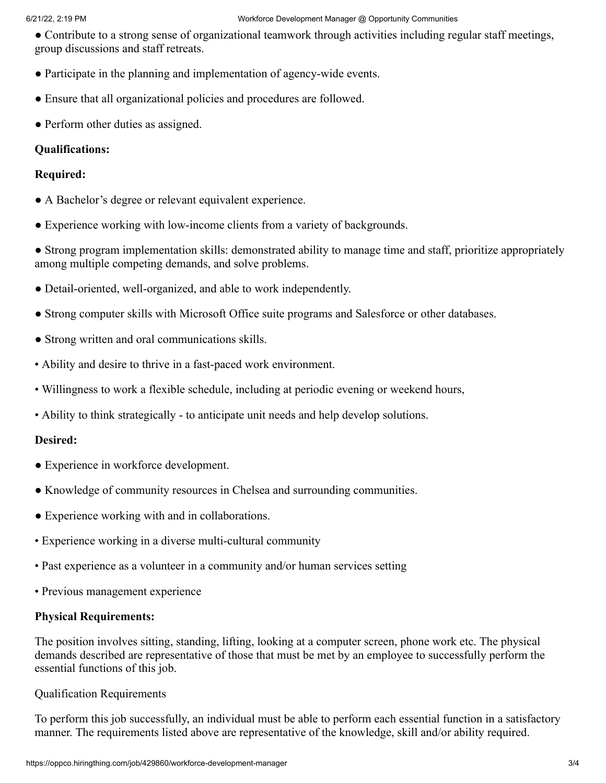### 6/21/22, 2:19 PM Workforce Development Manager @ Opportunity Communities

● Contribute to a strong sense of organizational teamwork through activities including regular staff meetings, group discussions and staff retreats.

- Participate in the planning and implementation of agency-wide events.
- Ensure that all organizational policies and procedures are followed.
- Perform other duties as assigned.

### **Qualifications:**

### **Required:**

- A Bachelor's degree or relevant equivalent experience.
- Experience working with low-income clients from a variety of backgrounds.
- Strong program implementation skills: demonstrated ability to manage time and staff, prioritize appropriately among multiple competing demands, and solve problems.
- Detail-oriented, well-organized, and able to work independently.
- Strong computer skills with Microsoft Office suite programs and Salesforce or other databases.
- Strong written and oral communications skills.
- Ability and desire to thrive in a fast-paced work environment.
- Willingness to work a flexible schedule, including at periodic evening or weekend hours,
- Ability to think strategically to anticipate unit needs and help develop solutions.

### **Desired:**

- Experience in workforce development.
- Knowledge of community resources in Chelsea and surrounding communities.
- Experience working with and in collaborations.
- Experience working in a diverse multi-cultural community
- Past experience as a volunteer in a community and/or human services setting
- Previous management experience

### **Physical Requirements:**

The position involves sitting, standing, lifting, looking at a computer screen, phone work etc. The physical demands described are representative of those that must be met by an employee to successfully perform the essential functions of this job.

### Qualification Requirements

To perform this job successfully, an individual must be able to perform each essential function in a satisfactory manner. The requirements listed above are representative of the knowledge, skill and/or ability required.